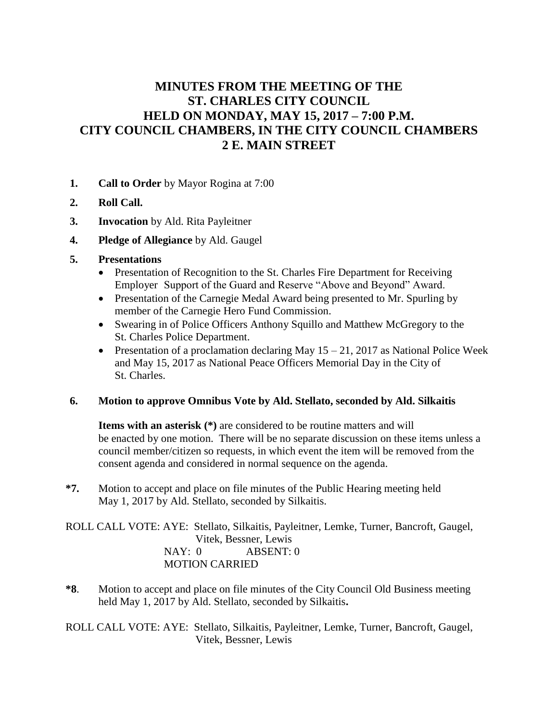# **MINUTES FROM THE MEETING OF THE ST. CHARLES CITY COUNCIL HELD ON MONDAY, MAY 15, 2017 – 7:00 P.M. CITY COUNCIL CHAMBERS, IN THE CITY COUNCIL CHAMBERS 2 E. MAIN STREET**

- **1. Call to Order** by Mayor Rogina at 7:00
- **2. Roll Call.**
- **3. Invocation** by Ald. Rita Payleitner
- **4. Pledge of Allegiance** by Ald. Gaugel
- **5. Presentations**
	- Presentation of Recognition to the St. Charles Fire Department for Receiving Employer Support of the Guard and Reserve "Above and Beyond" Award.
	- Presentation of the Carnegie Medal Award being presented to Mr. Spurling by member of the Carnegie Hero Fund Commission.
	- Swearing in of Police Officers Anthony Squillo and Matthew McGregory to the St. Charles Police Department.
	- Presentation of a proclamation declaring May  $15 21$ , 2017 as National Police Week and May 15, 2017 as National Peace Officers Memorial Day in the City of St. Charles.

### **6. Motion to approve Omnibus Vote by Ald. Stellato, seconded by Ald. Silkaitis**

**Items with an asterisk (\*)** are considered to be routine matters and will be enacted by one motion. There will be no separate discussion on these items unless a council member/citizen so requests, in which event the item will be removed from the consent agenda and considered in normal sequence on the agenda.

**\*7.** Motion to accept and place on file minutes of the Public Hearing meeting held May 1, 2017 by Ald. Stellato, seconded by Silkaitis.

ROLL CALL VOTE: AYE: Stellato, Silkaitis, Payleitner, Lemke, Turner, Bancroft, Gaugel, Vitek, Bessner, Lewis NAY: 0 ABSENT: 0 MOTION CARRIED

**\*8**. Motion to accept and place on file minutes of the City Council Old Business meeting held May 1, 2017 by Ald. Stellato, seconded by Silkaitis**.** 

ROLL CALL VOTE: AYE: Stellato, Silkaitis, Payleitner, Lemke, Turner, Bancroft, Gaugel, Vitek, Bessner, Lewis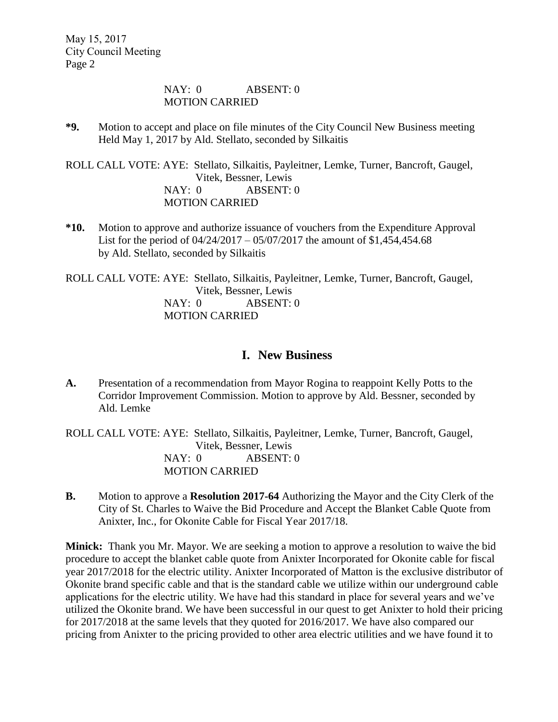#### NAY: 0 ABSENT: 0 MOTION CARRIED

**\*9.** Motion to accept and place on file minutes of the City Council New Business meeting Held May 1, 2017 by Ald. Stellato, seconded by Silkaitis

ROLL CALL VOTE: AYE: Stellato, Silkaitis, Payleitner, Lemke, Turner, Bancroft, Gaugel, Vitek, Bessner, Lewis NAY: 0 ABSENT: 0 MOTION CARRIED

**\*10.** Motion to approve and authorize issuance of vouchers from the Expenditure Approval List for the period of 04/24/2017 – 05/07/2017 the amount of \$1,454,454.68 by Ald. Stellato, seconded by Silkaitis

ROLL CALL VOTE: AYE: Stellato, Silkaitis, Payleitner, Lemke, Turner, Bancroft, Gaugel, Vitek, Bessner, Lewis NAY: 0 ABSENT: 0 MOTION CARRIED

## **I. New Business**

**A.** Presentation of a recommendation from Mayor Rogina to reappoint Kelly Potts to the Corridor Improvement Commission. Motion to approve by Ald. Bessner, seconded by Ald. Lemke

ROLL CALL VOTE: AYE: Stellato, Silkaitis, Payleitner, Lemke, Turner, Bancroft, Gaugel, Vitek, Bessner, Lewis NAY: 0 ABSENT: 0 MOTION CARRIED

**B.** Motion to approve a **Resolution 2017-64** Authorizing the Mayor and the City Clerk of the City of St. Charles to Waive the Bid Procedure and Accept the Blanket Cable Quote from Anixter, Inc., for Okonite Cable for Fiscal Year 2017/18.

**Minick:** Thank you Mr. Mayor. We are seeking a motion to approve a resolution to waive the bid procedure to accept the blanket cable quote from Anixter Incorporated for Okonite cable for fiscal year 2017/2018 for the electric utility. Anixter Incorporated of Matton is the exclusive distributor of Okonite brand specific cable and that is the standard cable we utilize within our underground cable applications for the electric utility. We have had this standard in place for several years and we've utilized the Okonite brand. We have been successful in our quest to get Anixter to hold their pricing for 2017/2018 at the same levels that they quoted for 2016/2017. We have also compared our pricing from Anixter to the pricing provided to other area electric utilities and we have found it to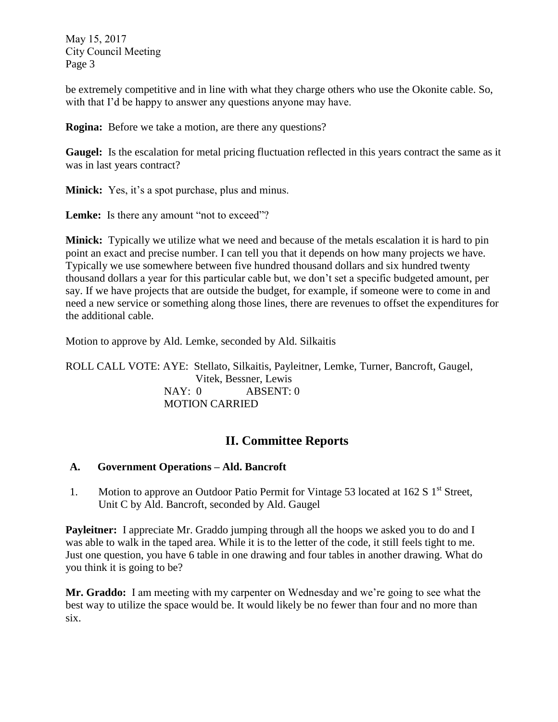be extremely competitive and in line with what they charge others who use the Okonite cable. So, with that I'd be happy to answer any questions anyone may have.

**Rogina:** Before we take a motion, are there any questions?

**Gaugel:** Is the escalation for metal pricing fluctuation reflected in this years contract the same as it was in last years contract?

**Minick:** Yes, it's a spot purchase, plus and minus.

Lemke: Is there any amount "not to exceed"?

**Minick:** Typically we utilize what we need and because of the metals escalation it is hard to pin point an exact and precise number. I can tell you that it depends on how many projects we have. Typically we use somewhere between five hundred thousand dollars and six hundred twenty thousand dollars a year for this particular cable but, we don't set a specific budgeted amount, per say. If we have projects that are outside the budget, for example, if someone were to come in and need a new service or something along those lines, there are revenues to offset the expenditures for the additional cable.

Motion to approve by Ald. Lemke, seconded by Ald. Silkaitis

ROLL CALL VOTE: AYE: Stellato, Silkaitis, Payleitner, Lemke, Turner, Bancroft, Gaugel, Vitek, Bessner, Lewis NAY: 0 ABSENT: 0 MOTION CARRIED

## **II. Committee Reports**

## **A. Government Operations – Ald. Bancroft**

1. Motion to approve an Outdoor Patio Permit for Vintage 53 located at 162 S 1<sup>st</sup> Street, Unit C by Ald. Bancroft, seconded by Ald. Gaugel

**Payleitner:** I appreciate Mr. Graddo jumping through all the hoops we asked you to do and I was able to walk in the taped area. While it is to the letter of the code, it still feels tight to me. Just one question, you have 6 table in one drawing and four tables in another drawing. What do you think it is going to be?

**Mr. Graddo:** I am meeting with my carpenter on Wednesday and we're going to see what the best way to utilize the space would be. It would likely be no fewer than four and no more than six.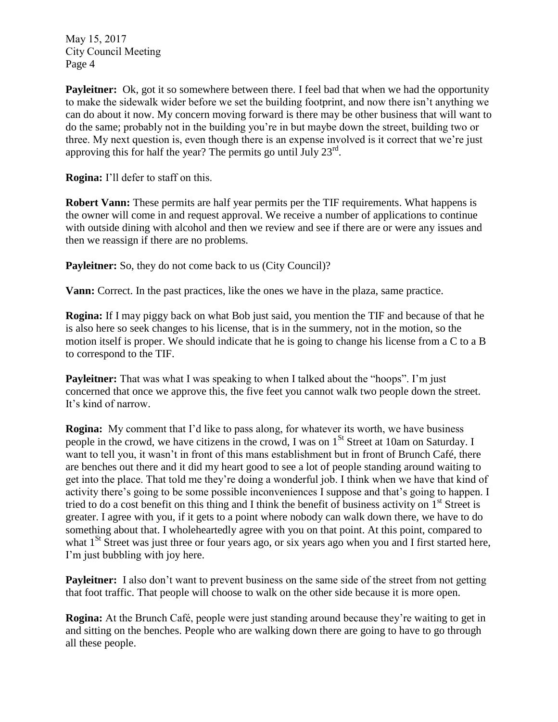**Payleitner:** Ok, got it so somewhere between there. I feel bad that when we had the opportunity to make the sidewalk wider before we set the building footprint, and now there isn't anything we can do about it now. My concern moving forward is there may be other business that will want to do the same; probably not in the building you're in but maybe down the street, building two or three. My next question is, even though there is an expense involved is it correct that we're just approving this for half the year? The permits go until July 23rd.

**Rogina:** I'll defer to staff on this.

**Robert Vann:** These permits are half year permits per the TIF requirements. What happens is the owner will come in and request approval. We receive a number of applications to continue with outside dining with alcohol and then we review and see if there are or were any issues and then we reassign if there are no problems.

Payleitner: So, they do not come back to us (City Council)?

**Vann:** Correct. In the past practices, like the ones we have in the plaza, same practice.

**Rogina:** If I may piggy back on what Bob just said, you mention the TIF and because of that he is also here so seek changes to his license, that is in the summery, not in the motion, so the motion itself is proper. We should indicate that he is going to change his license from a C to a B to correspond to the TIF.

**Payleitner:** That was what I was speaking to when I talked about the "hoops". I'm just concerned that once we approve this, the five feet you cannot walk two people down the street. It's kind of narrow.

**Rogina:** My comment that I'd like to pass along, for whatever its worth, we have business people in the crowd, we have citizens in the crowd, I was on 1<sup>St</sup> Street at 10am on Saturday. I want to tell you, it wasn't in front of this mans establishment but in front of Brunch Café, there are benches out there and it did my heart good to see a lot of people standing around waiting to get into the place. That told me they're doing a wonderful job. I think when we have that kind of activity there's going to be some possible inconveniences I suppose and that's going to happen. I tried to do a cost benefit on this thing and I think the benefit of business activity on  $1<sup>st</sup>$  Street is greater. I agree with you, if it gets to a point where nobody can walk down there, we have to do something about that. I wholeheartedly agree with you on that point. At this point, compared to what 1<sup>St</sup> Street was just three or four years ago, or six years ago when you and I first started here, I'm just bubbling with joy here.

**Payleitner:** I also don't want to prevent business on the same side of the street from not getting that foot traffic. That people will choose to walk on the other side because it is more open.

**Rogina:** At the Brunch Café, people were just standing around because they're waiting to get in and sitting on the benches. People who are walking down there are going to have to go through all these people.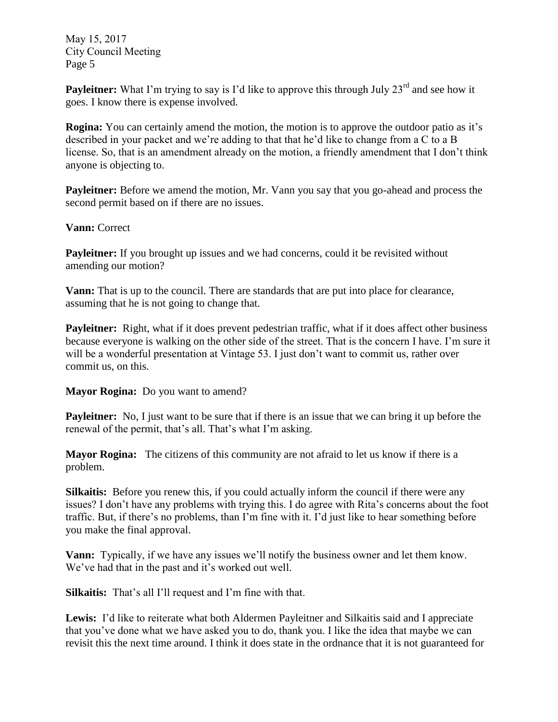**Payleitner:** What I'm trying to say is I'd like to approve this through July 23<sup>rd</sup> and see how it goes. I know there is expense involved.

**Rogina:** You can certainly amend the motion, the motion is to approve the outdoor patio as it's described in your packet and we're adding to that that he'd like to change from a C to a B license. So, that is an amendment already on the motion, a friendly amendment that I don't think anyone is objecting to.

**Payleitner:** Before we amend the motion, Mr. Vann you say that you go-ahead and process the second permit based on if there are no issues.

**Vann:** Correct

**Payleitner:** If you brought up issues and we had concerns, could it be revisited without amending our motion?

**Vann:** That is up to the council. There are standards that are put into place for clearance, assuming that he is not going to change that.

**Payleitner:** Right, what if it does prevent pedestrian traffic, what if it does affect other business because everyone is walking on the other side of the street. That is the concern I have. I'm sure it will be a wonderful presentation at Vintage 53. I just don't want to commit us, rather over commit us, on this.

**Mayor Rogina:** Do you want to amend?

**Payleitner:** No, I just want to be sure that if there is an issue that we can bring it up before the renewal of the permit, that's all. That's what I'm asking.

**Mayor Rogina:** The citizens of this community are not afraid to let us know if there is a problem.

**Silkaitis:** Before you renew this, if you could actually inform the council if there were any issues? I don't have any problems with trying this. I do agree with Rita's concerns about the foot traffic. But, if there's no problems, than I'm fine with it. I'd just like to hear something before you make the final approval.

**Vann:** Typically, if we have any issues we'll notify the business owner and let them know. We've had that in the past and it's worked out well.

**Silkaitis:** That's all I'll request and I'm fine with that.

**Lewis:** I'd like to reiterate what both Aldermen Payleitner and Silkaitis said and I appreciate that you've done what we have asked you to do, thank you. I like the idea that maybe we can revisit this the next time around. I think it does state in the ordnance that it is not guaranteed for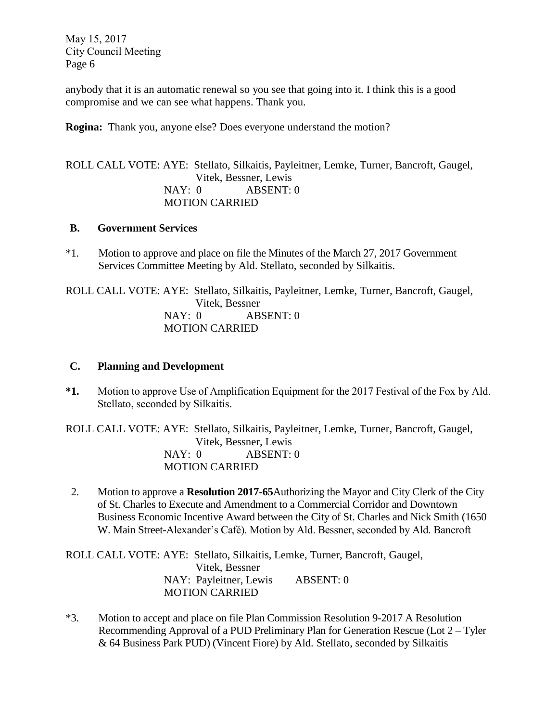anybody that it is an automatic renewal so you see that going into it. I think this is a good compromise and we can see what happens. Thank you.

**Rogina:** Thank you, anyone else? Does everyone understand the motion?

## ROLL CALL VOTE: AYE: Stellato, Silkaitis, Payleitner, Lemke, Turner, Bancroft, Gaugel, Vitek, Bessner, Lewis NAY: 0 ABSENT: 0 MOTION CARRIED

### **B. Government Services**

\*1. Motion to approve and place on file the Minutes of the March 27, 2017 Government Services Committee Meeting by Ald. Stellato, seconded by Silkaitis.

ROLL CALL VOTE: AYE: Stellato, Silkaitis, Payleitner, Lemke, Turner, Bancroft, Gaugel, Vitek, Bessner NAY: 0 ABSENT: 0 MOTION CARRIED

### **C. Planning and Development**

**\*1.** Motion to approve Use of Amplification Equipment for the 2017 Festival of the Fox by Ald. Stellato, seconded by Silkaitis.

ROLL CALL VOTE: AYE: Stellato, Silkaitis, Payleitner, Lemke, Turner, Bancroft, Gaugel, Vitek, Bessner, Lewis NAY: 0 ABSENT: 0 MOTION CARRIED

2. Motion to approve a **Resolution 2017-65**Authorizing the Mayor and City Clerk of the City of St. Charles to Execute and Amendment to a Commercial Corridor and Downtown Business Economic Incentive Award between the City of St. Charles and Nick Smith (1650 W. Main Street-Alexander's Café). Motion by Ald. Bessner, seconded by Ald. Bancroft

ROLL CALL VOTE: AYE: Stellato, Silkaitis, Lemke, Turner, Bancroft, Gaugel, Vitek, Bessner NAY: Payleitner, Lewis ABSENT: 0 MOTION CARRIED

\*3. Motion to accept and place on file Plan Commission Resolution 9-2017 A Resolution Recommending Approval of a PUD Preliminary Plan for Generation Rescue (Lot 2 – Tyler & 64 Business Park PUD) (Vincent Fiore) by Ald. Stellato, seconded by Silkaitis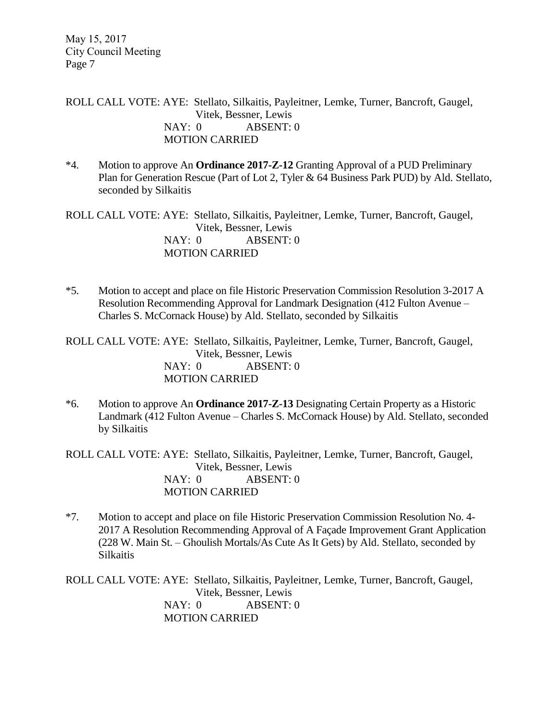ROLL CALL VOTE: AYE: Stellato, Silkaitis, Payleitner, Lemke, Turner, Bancroft, Gaugel, Vitek, Bessner, Lewis NAY: 0 ABSENT: 0 MOTION CARRIED

\*4. Motion to approve An **Ordinance 2017-Z-12** Granting Approval of a PUD Preliminary Plan for Generation Rescue (Part of Lot 2, Tyler & 64 Business Park PUD) by Ald. Stellato, seconded by Silkaitis

ROLL CALL VOTE: AYE: Stellato, Silkaitis, Payleitner, Lemke, Turner, Bancroft, Gaugel, Vitek, Bessner, Lewis NAY: 0 ABSENT: 0 MOTION CARRIED

\*5. Motion to accept and place on file Historic Preservation Commission Resolution 3-2017 A Resolution Recommending Approval for Landmark Designation (412 Fulton Avenue – Charles S. McCornack House) by Ald. Stellato, seconded by Silkaitis

ROLL CALL VOTE: AYE: Stellato, Silkaitis, Payleitner, Lemke, Turner, Bancroft, Gaugel, Vitek, Bessner, Lewis NAY: 0 ABSENT: 0 MOTION CARRIED

\*6. Motion to approve An **Ordinance 2017-Z-13** Designating Certain Property as a Historic Landmark (412 Fulton Avenue – Charles S. McCornack House) by Ald. Stellato, seconded by Silkaitis

ROLL CALL VOTE: AYE: Stellato, Silkaitis, Payleitner, Lemke, Turner, Bancroft, Gaugel, Vitek, Bessner, Lewis NAY: 0 ABSENT: 0 MOTION CARRIED

\*7. Motion to accept and place on file Historic Preservation Commission Resolution No. 4- 2017 A Resolution Recommending Approval of A Façade Improvement Grant Application (228 W. Main St. – Ghoulish Mortals/As Cute As It Gets) by Ald. Stellato, seconded by Silkaitis

ROLL CALL VOTE: AYE: Stellato, Silkaitis, Payleitner, Lemke, Turner, Bancroft, Gaugel, Vitek, Bessner, Lewis NAY: 0 ABSENT: 0 MOTION CARRIED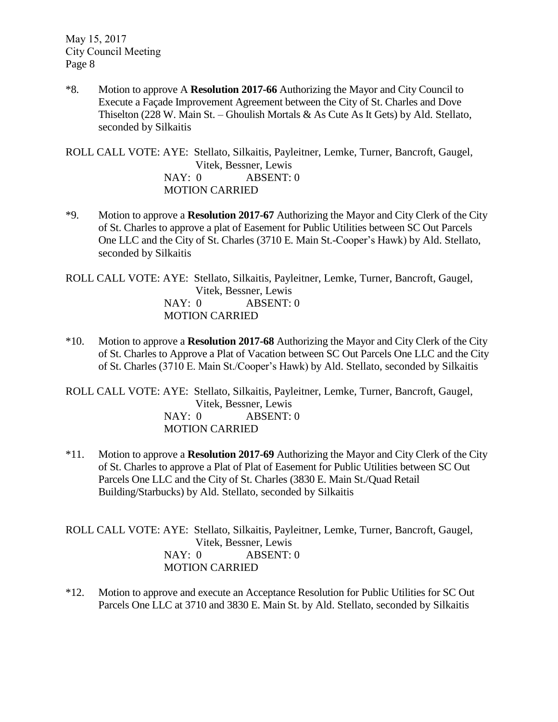\*8. Motion to approve A **Resolution 2017-66** Authorizing the Mayor and City Council to Execute a Façade Improvement Agreement between the City of St. Charles and Dove Thiselton (228 W. Main St. – Ghoulish Mortals  $\&$  As Cute As It Gets) by Ald. Stellato, seconded by Silkaitis

ROLL CALL VOTE: AYE: Stellato, Silkaitis, Payleitner, Lemke, Turner, Bancroft, Gaugel, Vitek, Bessner, Lewis NAY: 0 ABSENT: 0 MOTION CARRIED

\*9. Motion to approve a **Resolution 2017-67** Authorizing the Mayor and City Clerk of the City of St. Charles to approve a plat of Easement for Public Utilities between SC Out Parcels One LLC and the City of St. Charles (3710 E. Main St.-Cooper's Hawk) by Ald. Stellato, seconded by Silkaitis

ROLL CALL VOTE: AYE: Stellato, Silkaitis, Payleitner, Lemke, Turner, Bancroft, Gaugel, Vitek, Bessner, Lewis NAY: 0 ABSENT: 0 MOTION CARRIED

\*10. Motion to approve a **Resolution 2017-68** Authorizing the Mayor and City Clerk of the City of St. Charles to Approve a Plat of Vacation between SC Out Parcels One LLC and the City of St. Charles (3710 E. Main St./Cooper's Hawk) by Ald. Stellato, seconded by Silkaitis

ROLL CALL VOTE: AYE: Stellato, Silkaitis, Payleitner, Lemke, Turner, Bancroft, Gaugel, Vitek, Bessner, Lewis NAY: 0 ABSENT: 0 MOTION CARRIED

\*11. Motion to approve a **Resolution 2017-69** Authorizing the Mayor and City Clerk of the City of St. Charles to approve a Plat of Plat of Easement for Public Utilities between SC Out Parcels One LLC and the City of St. Charles (3830 E. Main St./Quad Retail Building/Starbucks) by Ald. Stellato, seconded by Silkaitis

ROLL CALL VOTE: AYE: Stellato, Silkaitis, Payleitner, Lemke, Turner, Bancroft, Gaugel, Vitek, Bessner, Lewis NAY: 0 ABSENT: 0 MOTION CARRIED

\*12. Motion to approve and execute an Acceptance Resolution for Public Utilities for SC Out Parcels One LLC at 3710 and 3830 E. Main St. by Ald. Stellato, seconded by Silkaitis